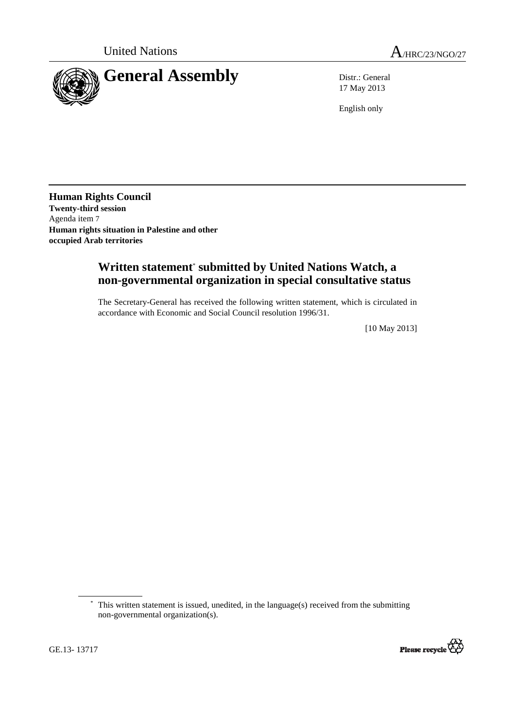

17 May 2013

English only

**Human Rights Council Twenty-third session**  Agenda item 7 **Human rights situation in Palestine and other occupied Arab territories**

## **Written statement**\*  **submitted by United Nations Watch, a non-governmental organization in special consultative status**

The Secretary-General has received the following written statement, which is circulated in accordance with Economic and Social Council resolution 1996/31.

[10 May 2013]

<sup>\*</sup> This written statement is issued, unedited, in the language(s) received from the submitting non-governmental organization(s).



 $\overline{a}$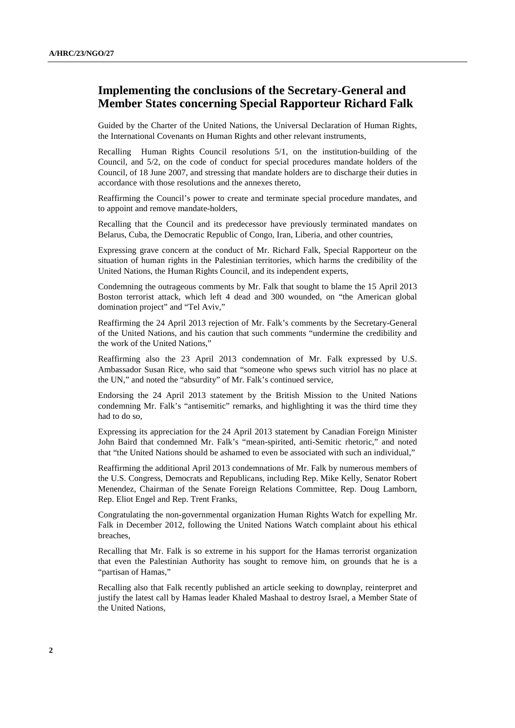## **Implementing the conclusions of the Secretary-General and Member States concerning Special Rapporteur Richard Falk**

Guided by the Charter of the United Nations, the Universal Declaration of Human Rights, the International Covenants on Human Rights and other relevant instruments,

Recalling Human Rights Council resolutions 5/1, on the institution-building of the Council, and 5/2, on the code of conduct for special procedures mandate holders of the Council, of 18 June 2007, and stressing that mandate holders are to discharge their duties in accordance with those resolutions and the annexes thereto,

Reaffirming the Council's power to create and terminate special procedure mandates, and to appoint and remove mandate-holders,

Recalling that the Council and its predecessor have previously terminated mandates on Belarus, Cuba, the Democratic Republic of Congo, Iran, Liberia, and other countries,

Expressing grave concern at the conduct of Mr. Richard Falk, Special Rapporteur on the situation of human rights in the Palestinian territories, which harms the credibility of the United Nations, the Human Rights Council, and its independent experts,

Condemning the outrageous comments by Mr. Falk that sought to blame the 15 April 2013 Boston terrorist attack, which left 4 dead and 300 wounded, on "the American global domination project" and "Tel Aviv,"

Reaffirming the 24 April 2013 rejection of Mr. Falk's comments by the Secretary-General of the United Nations, and his caution that such comments "undermine the credibility and the work of the United Nations,"

Reaffirming also the 23 April 2013 condemnation of Mr. Falk expressed by U.S. Ambassador Susan Rice, who said that "someone who spews such vitriol has no place at the UN," and noted the "absurdity" of Mr. Falk's continued service,

Endorsing the 24 April 2013 statement by the British Mission to the United Nations condemning Mr. Falk's "antisemitic" remarks, and highlighting it was the third time they had to do so,

Expressing its appreciation for the 24 April 2013 statement by Canadian Foreign Minister John Baird that condemned Mr. Falk's "mean-spirited, anti-Semitic rhetoric," and noted that "the United Nations should be ashamed to even be associated with such an individual,"

Reaffirming the additional April 2013 condemnations of Mr. Falk by numerous members of the U.S. Congress, Democrats and Republicans, including Rep. Mike Kelly, Senator Robert Menendez, Chairman of the Senate Foreign Relations Committee, Rep. Doug Lamborn, Rep. Eliot Engel and Rep. Trent Franks,

Congratulating the non-governmental organization Human Rights Watch for expelling Mr. Falk in December 2012, following the United Nations Watch complaint about his ethical breaches,

Recalling that Mr. Falk is so extreme in his support for the Hamas terrorist organization that even the Palestinian Authority has sought to remove him, on grounds that he is a "partisan of Hamas,"

Recalling also that Falk recently published an article seeking to downplay, reinterpret and justify the latest call by Hamas leader Khaled Mashaal to destroy Israel, a Member State of the United Nations,